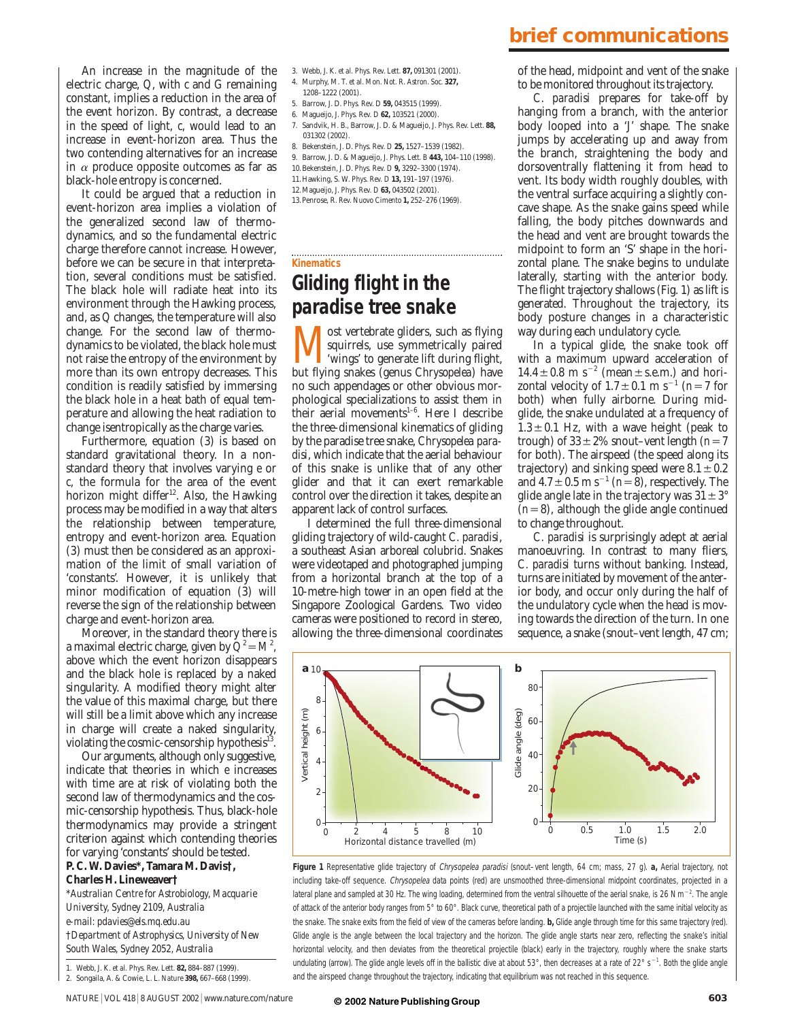An increase in the magnitude of the electric charge, *Q*, with *c* and *G* remaining constant, implies a reduction in the area of the event horizon. By contrast, a decrease in the speed of light, *c*, would lead to an increase in event-horizon area. Thus the two contending alternatives for an increase in  $\alpha$  produce opposite outcomes as far as black-hole entropy is concerned.

It could be argued that a reduction in event-horizon area implies a violation of the generalized second law of thermodynamics, and so the fundamental electric charge therefore cannot increase. However, before we can be secure in that interpretation, several conditions must be satisfied. The black hole will radiate heat into its environment through the Hawking process, and, as *Q* changes, the temperature will also change. For the second law of thermodynamics to be violated, the black hole must not raise the entropy of the environment by more than its own entropy decreases. This condition is readily satisfied by immersing the black hole in a heat bath of equal temperature and allowing the heat radiation to change isentropically as the charge varies.

Furthermore, equation (3) is based on standard gravitational theory. In a nonstandard theory that involves varying *e* or *c*, the formula for the area of the event horizon might differ<sup>12</sup>. Also, the Hawking process may be modified in a way that alters the relationship between temperature, entropy and event-horizon area. Equation (3) must then be considered as an approximation of the limit of small variation of 'constants'. However, it is unlikely that minor modification of equation (3) will reverse the sign of the relationship between charge and event-horizon area.

Moreover, in the standard theory there is a maximal electric charge, given by  $Q^2 = M^2$ , above which the event horizon disappears and the black hole is replaced by a naked singularity. A modified theory might alter the value of this maximal charge, but there will still be a limit above which any increase in charge will create a naked singularity, violating the cosmic-censorship hypothesis<sup>13</sup>.

Our arguments, although only suggestive, indicate that theories in which *e* increases with time are at risk of violating both the second law of thermodynamics and the cosmic-censorship hypothesis. Thus, black-hole thermodynamics may provide a stringent criterion against which contending theories for varying 'constants' should be tested.

### **P. C. W. Davies\*, Tamara M. Davis†, Charles H. Lineweaver†**

\**Australian Centre for Astrobiology, Macquarie University, Sydney 2109, Australia e-mail: pdavies@els.mq.edu.au* †*Department of Astrophysics, University of New South Wales, Sydney 2052, Australia*

1. Webb, J. K. *et al. Phys. Rev. Lett.* **82,** 884–887 (1999). 2. Songaila, A. & Cowie, L. L. *Nature* **398,** 667–668 (1999).

- 3. Webb, J. K. *et al. Phys. Rev. Lett.* **87,** 091301 (2001).
- 4. Murphy, M. T. *et al*. *Mon. Not. R. Astron. Soc.* **327,**
- 1208–1222 (2001). 5. Barrow, J. D. *Phys. Rev. D* **59,** 043515 (1999).
- 6. Magueijo, J. *Phys. Rev. D* **62,** 103521 (2000).
- 7. Sandvik, H. B., Barrow, J. D. & Magueijo, J. *Phys. Rev. Lett.* **88,** 031302 (2002).
- 8. Bekenstein, J. D. *Phys. Rev. D* **25,** 1527–1539 (1982).
- 9. Barrow, J. D. & Magueijo, J. *Phys. Lett. B* **443,** 104–110 (1998).
- 10.Bekenstein, J. D. *Phys. Rev. D* **9,** 3292–3300 (1974).
- 11.Hawking, S. W. *Phys. Rev. D* **13,** 191–197 (1976).
- 12.Magueijo, J. *Phys. Rev. D* **63,** 043502 (2001). 13.Penrose, R. *Rev. Nuovo Cimento* **1,** 252–276 (1969).

# **Kinematics**

## **Gliding flight in the paradise tree snake**

**M** ost vertebrate gliders, such as flying<br>
"wings" to generate lift during flight,<br>
but flying spakes (gapus *Chrysopolos*) bay squirrels, use symmetrically paired but flying snakes (genus *Chrysopelea*) have no such appendages or other obvious morphological specializations to assist them in their aerial movements $1-6$ . Here I describe the three-dimensional kinematics of gliding by the paradise tree snake, *Chrysopelea paradisi*, which indicate that the aerial behaviour of this snake is unlike that of any other glider and that it can exert remarkable control over the direction it takes, despite an apparent lack of control surfaces.

I determined the full three-dimensional gliding trajectory of wild-caught *C. paradisi*, a southeast Asian arboreal colubrid. Snakes were videotaped and photographed jumping from a horizontal branch at the top of a 10-metre-high tower in an open field at the Singapore Zoological Gardens. Two video cameras were positioned to record in stereo, allowing the three-dimensional coordinates

### **brief communications**

of the head, midpoint and vent of the snake to be monitored throughout its trajectory.

*C. paradisi* prepares for take-off by hanging from a branch, with the anterior body looped into a 'J' shape. The snake jumps by accelerating up and away from the branch, straightening the body and dorsoventrally flattening it from head to vent. Its body width roughly doubles, with the ventral surface acquiring a slightly concave shape. As the snake gains speed while falling, the body pitches downwards and the head and vent are brought towards the midpoint to form an 'S' shape in the horizontal plane. The snake begins to undulate laterally, starting with the anterior body. The flight trajectory shallows (Fig. 1) as lift is generated. Throughout the trajectory, its body posture changes in a characteristic way during each undulatory cycle.

In a typical glide, the snake took off with a maximum upward acceleration of  $14.4 \pm 0.8$  m s<sup>-2</sup> (mean  $\pm$  s.e.m.) and horizontal velocity of  $1.7 \pm 0.1$  m s<sup>-1</sup> (*n*=7 for both) when fully airborne. During midglide, the snake undulated at a frequency of  $1.3 \pm 0.1$  Hz, with a wave height (peak to trough) of  $33 \pm 2\%$  snout–vent length ( $n=7$ for both). The airspeed (the speed along its trajectory) and sinking speed were  $8.1 \pm 0.2$ and  $4.7\pm0.5$  m s<sup>-1</sup> ( $n=8$ ), respectively. The glide angle late in the trajectory was  $31 \pm 3^{\circ}$  $(n=8)$ , although the glide angle continued to change throughout.

*C. paradisi* is surprisingly adept at aerial manoeuvring. In contrast to many fliers, *C. paradisi* turns without banking. Instead, turns are initiated by movement of the anterior body, and occur only during the half of the undulatory cycle when the head is moving towards the direction of the turn. In one sequence, a snake (snout–vent length, 47 cm;





#### **© 2002 NaturePublishingGroup**